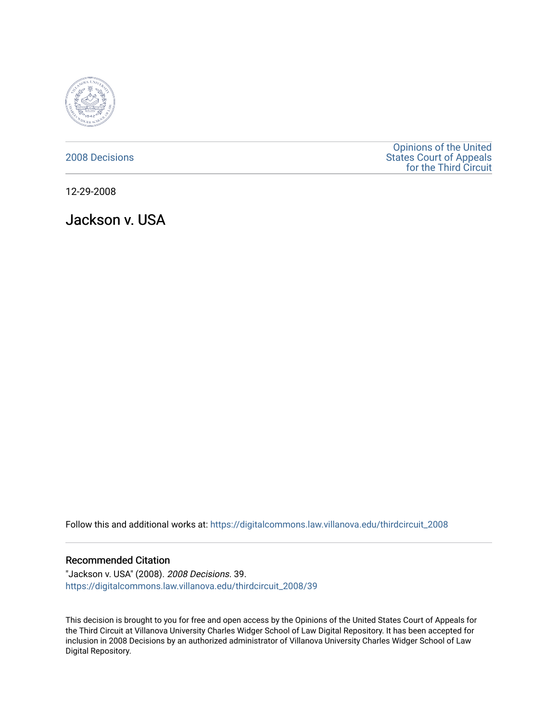

[2008 Decisions](https://digitalcommons.law.villanova.edu/thirdcircuit_2008)

[Opinions of the United](https://digitalcommons.law.villanova.edu/thirdcircuit)  [States Court of Appeals](https://digitalcommons.law.villanova.edu/thirdcircuit)  [for the Third Circuit](https://digitalcommons.law.villanova.edu/thirdcircuit) 

12-29-2008

Jackson v. USA

Follow this and additional works at: [https://digitalcommons.law.villanova.edu/thirdcircuit\\_2008](https://digitalcommons.law.villanova.edu/thirdcircuit_2008?utm_source=digitalcommons.law.villanova.edu%2Fthirdcircuit_2008%2F39&utm_medium=PDF&utm_campaign=PDFCoverPages) 

### Recommended Citation

"Jackson v. USA" (2008). 2008 Decisions. 39. [https://digitalcommons.law.villanova.edu/thirdcircuit\\_2008/39](https://digitalcommons.law.villanova.edu/thirdcircuit_2008/39?utm_source=digitalcommons.law.villanova.edu%2Fthirdcircuit_2008%2F39&utm_medium=PDF&utm_campaign=PDFCoverPages)

This decision is brought to you for free and open access by the Opinions of the United States Court of Appeals for the Third Circuit at Villanova University Charles Widger School of Law Digital Repository. It has been accepted for inclusion in 2008 Decisions by an authorized administrator of Villanova University Charles Widger School of Law Digital Repository.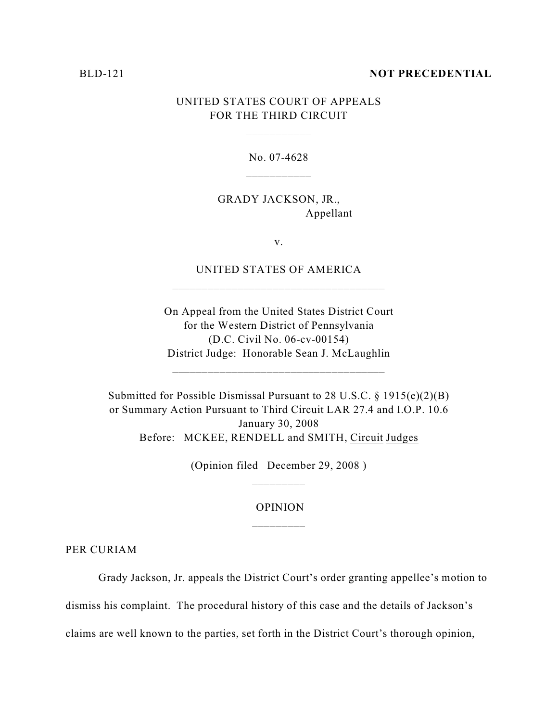#### BLD-121 **NOT PRECEDENTIAL**

## UNITED STATES COURT OF APPEALS FOR THE THIRD CIRCUIT

No. 07-4628 \_\_\_\_\_\_\_\_\_\_\_

GRADY JACKSON, JR., Appellant

v.

UNITED STATES OF AMERICA \_\_\_\_\_\_\_\_\_\_\_\_\_\_\_\_\_\_\_\_\_\_\_\_\_\_\_\_\_\_\_\_\_\_\_\_

On Appeal from the United States District Court for the Western District of Pennsylvania (D.C. Civil No. 06-cv-00154) District Judge: Honorable Sean J. McLaughlin

\_\_\_\_\_\_\_\_\_\_\_\_\_\_\_\_\_\_\_\_\_\_\_\_\_\_\_\_\_\_\_\_\_\_\_\_

Submitted for Possible Dismissal Pursuant to 28 U.S.C. § 1915(e)(2)(B) or Summary Action Pursuant to Third Circuit LAR 27.4 and I.O.P. 10.6 January 30, 2008 Before: MCKEE, RENDELL and SMITH, Circuit Judges

(Opinion filed December 29, 2008 )

# OPINION \_\_\_\_\_\_\_\_\_

PER CURIAM

Grady Jackson, Jr. appeals the District Court's order granting appellee's motion to

dismiss his complaint. The procedural history of this case and the details of Jackson's

claims are well known to the parties, set forth in the District Court's thorough opinion,